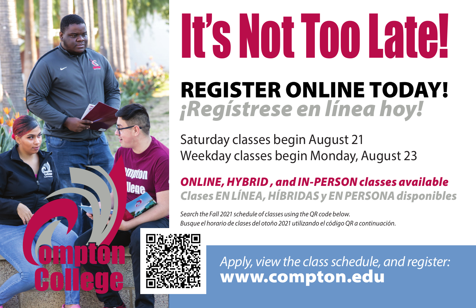

# It's Not Too Late! REGISTER ONLINE TODAY! *¡Regístrese en línea hoy!*

Saturday classes begin August 21 Weekday classes begin Monday, August 23

*ONLINE, HYBRID , and IN-PERSON classes available Clases EN LÍNEA, HÍBRIDAS y EN PERSONA disponibles*

*Search the Fall 2021 schedule of classes using the QR code below. Busque el horario de clases del otoño 2021 utilizando el código QR a continuación.*



*Apply, view the class schedule, and register:*  www.compton.edu